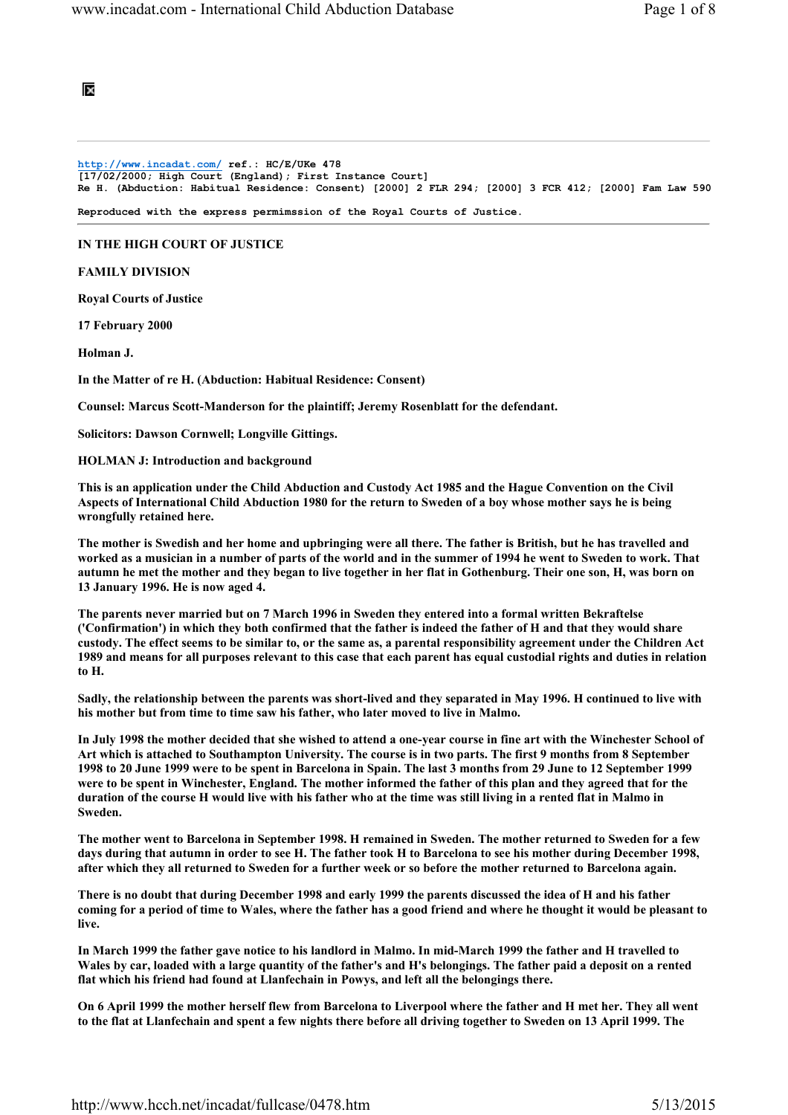# ×

#### http://www.incadat.com/ ref.: HC/E/UKe 478 [17/02/2000; High Court (England); First Instance Court] Re H. (Abduction: Habitual Residence: Consent) [2000] 2 FLR 294; [2000] 3 FCR 412; [2000] Fam Law 590

Reproduced with the express permimssion of the Royal Courts of Justice.

## IN THE HIGH COURT OF JUSTICE

### FAMILY DIVISION

Royal Courts of Justice

17 February 2000

Holman J.

In the Matter of re H. (Abduction: Habitual Residence: Consent)

Counsel: Marcus Scott-Manderson for the plaintiff; Jeremy Rosenblatt for the defendant.

Solicitors: Dawson Cornwell; Longville Gittings.

HOLMAN J: Introduction and background

This is an application under the Child Abduction and Custody Act 1985 and the Hague Convention on the Civil Aspects of International Child Abduction 1980 for the return to Sweden of a boy whose mother says he is being wrongfully retained here.

The mother is Swedish and her home and upbringing were all there. The father is British, but he has travelled and worked as a musician in a number of parts of the world and in the summer of 1994 he went to Sweden to work. That autumn he met the mother and they began to live together in her flat in Gothenburg. Their one son, H, was born on 13 January 1996. He is now aged 4.

The parents never married but on 7 March 1996 in Sweden they entered into a formal written Bekraftelse ('Confirmation') in which they both confirmed that the father is indeed the father of H and that they would share custody. The effect seems to be similar to, or the same as, a parental responsibility agreement under the Children Act 1989 and means for all purposes relevant to this case that each parent has equal custodial rights and duties in relation to H.

Sadly, the relationship between the parents was short-lived and they separated in May 1996. H continued to live with his mother but from time to time saw his father, who later moved to live in Malmo.

In July 1998 the mother decided that she wished to attend a one-year course in fine art with the Winchester School of Art which is attached to Southampton University. The course is in two parts. The first 9 months from 8 September 1998 to 20 June 1999 were to be spent in Barcelona in Spain. The last 3 months from 29 June to 12 September 1999 were to be spent in Winchester, England. The mother informed the father of this plan and they agreed that for the duration of the course H would live with his father who at the time was still living in a rented flat in Malmo in Sweden.

The mother went to Barcelona in September 1998. H remained in Sweden. The mother returned to Sweden for a few days during that autumn in order to see H. The father took H to Barcelona to see his mother during December 1998, after which they all returned to Sweden for a further week or so before the mother returned to Barcelona again.

There is no doubt that during December 1998 and early 1999 the parents discussed the idea of H and his father coming for a period of time to Wales, where the father has a good friend and where he thought it would be pleasant to live.

In March 1999 the father gave notice to his landlord in Malmo. In mid-March 1999 the father and H travelled to Wales by car, loaded with a large quantity of the father's and H's belongings. The father paid a deposit on a rented flat which his friend had found at Llanfechain in Powys, and left all the belongings there.

On 6 April 1999 the mother herself flew from Barcelona to Liverpool where the father and H met her. They all went to the flat at Llanfechain and spent a few nights there before all driving together to Sweden on 13 April 1999. The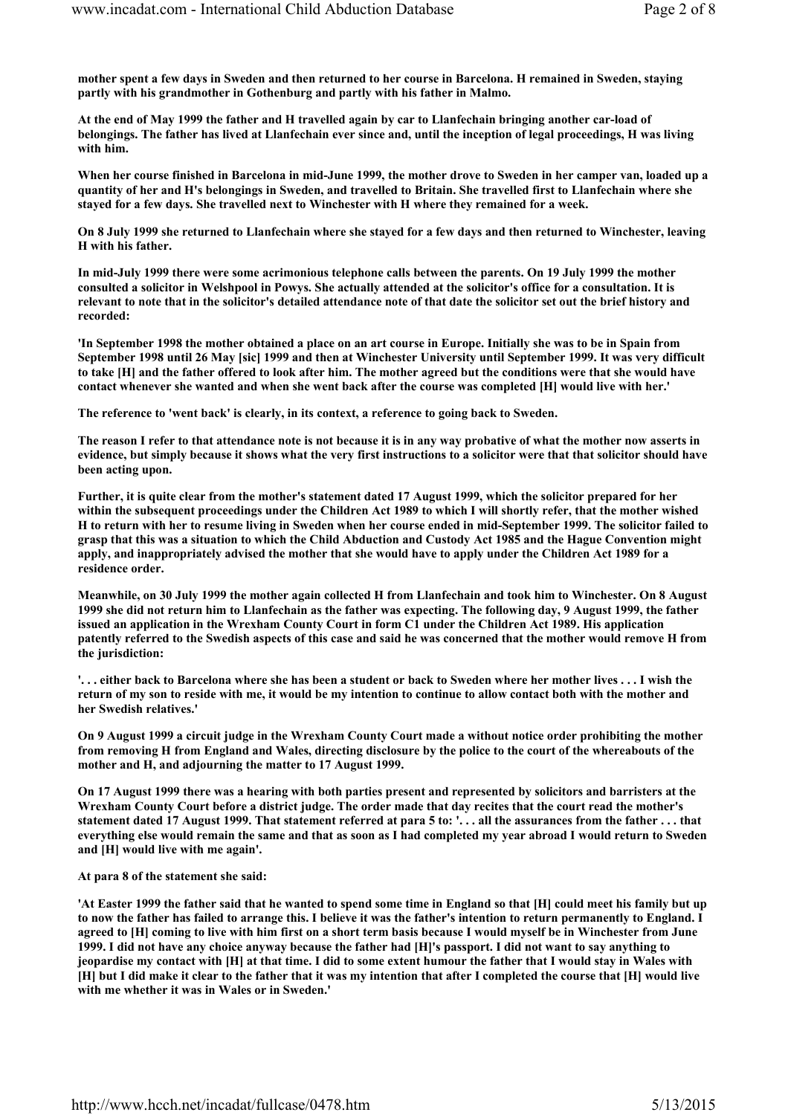mother spent a few days in Sweden and then returned to her course in Barcelona. H remained in Sweden, staying partly with his grandmother in Gothenburg and partly with his father in Malmo.

At the end of May 1999 the father and H travelled again by car to Llanfechain bringing another car-load of belongings. The father has lived at Llanfechain ever since and, until the inception of legal proceedings, H was living with him.

When her course finished in Barcelona in mid-June 1999, the mother drove to Sweden in her camper van, loaded up a quantity of her and H's belongings in Sweden, and travelled to Britain. She travelled first to Llanfechain where she stayed for a few days. She travelled next to Winchester with H where they remained for a week.

On 8 July 1999 she returned to Llanfechain where she stayed for a few days and then returned to Winchester, leaving H with his father.

In mid-July 1999 there were some acrimonious telephone calls between the parents. On 19 July 1999 the mother consulted a solicitor in Welshpool in Powys. She actually attended at the solicitor's office for a consultation. It is relevant to note that in the solicitor's detailed attendance note of that date the solicitor set out the brief history and recorded:

'In September 1998 the mother obtained a place on an art course in Europe. Initially she was to be in Spain from September 1998 until 26 May [sic] 1999 and then at Winchester University until September 1999. It was very difficult to take [H] and the father offered to look after him. The mother agreed but the conditions were that she would have contact whenever she wanted and when she went back after the course was completed [H] would live with her.'

The reference to 'went back' is clearly, in its context, a reference to going back to Sweden.

The reason I refer to that attendance note is not because it is in any way probative of what the mother now asserts in evidence, but simply because it shows what the very first instructions to a solicitor were that that solicitor should have been acting upon.

Further, it is quite clear from the mother's statement dated 17 August 1999, which the solicitor prepared for her within the subsequent proceedings under the Children Act 1989 to which I will shortly refer, that the mother wished H to return with her to resume living in Sweden when her course ended in mid-September 1999. The solicitor failed to grasp that this was a situation to which the Child Abduction and Custody Act 1985 and the Hague Convention might apply, and inappropriately advised the mother that she would have to apply under the Children Act 1989 for a residence order.

Meanwhile, on 30 July 1999 the mother again collected H from Llanfechain and took him to Winchester. On 8 August 1999 she did not return him to Llanfechain as the father was expecting. The following day, 9 August 1999, the father issued an application in the Wrexham County Court in form C1 under the Children Act 1989. His application patently referred to the Swedish aspects of this case and said he was concerned that the mother would remove H from the jurisdiction:

'. . . either back to Barcelona where she has been a student or back to Sweden where her mother lives . . . I wish the return of my son to reside with me, it would be my intention to continue to allow contact both with the mother and her Swedish relatives.'

On 9 August 1999 a circuit judge in the Wrexham County Court made a without notice order prohibiting the mother from removing H from England and Wales, directing disclosure by the police to the court of the whereabouts of the mother and H, and adjourning the matter to 17 August 1999.

On 17 August 1999 there was a hearing with both parties present and represented by solicitors and barristers at the Wrexham County Court before a district judge. The order made that day recites that the court read the mother's statement dated 17 August 1999. That statement referred at para 5 to: '. . . all the assurances from the father . . . that everything else would remain the same and that as soon as I had completed my year abroad I would return to Sweden and [H] would live with me again'.

### At para 8 of the statement she said:

'At Easter 1999 the father said that he wanted to spend some time in England so that [H] could meet his family but up to now the father has failed to arrange this. I believe it was the father's intention to return permanently to England. I agreed to [H] coming to live with him first on a short term basis because I would myself be in Winchester from June 1999. I did not have any choice anyway because the father had [H]'s passport. I did not want to say anything to jeopardise my contact with [H] at that time. I did to some extent humour the father that I would stay in Wales with [H] but I did make it clear to the father that it was my intention that after I completed the course that [H] would live with me whether it was in Wales or in Sweden.'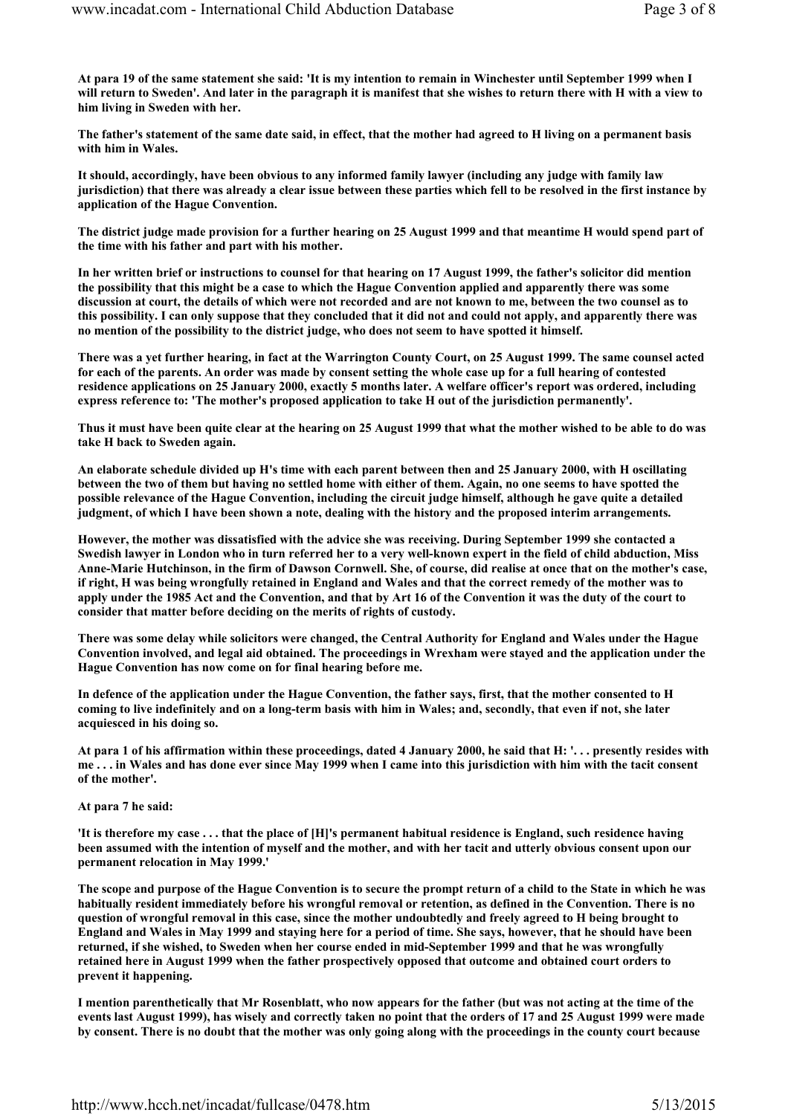At para 19 of the same statement she said: 'It is my intention to remain in Winchester until September 1999 when I will return to Sweden'. And later in the paragraph it is manifest that she wishes to return there with H with a view to him living in Sweden with her.

The father's statement of the same date said, in effect, that the mother had agreed to H living on a permanent basis with him in Wales.

It should, accordingly, have been obvious to any informed family lawyer (including any judge with family law jurisdiction) that there was already a clear issue between these parties which fell to be resolved in the first instance by application of the Hague Convention.

The district judge made provision for a further hearing on 25 August 1999 and that meantime H would spend part of the time with his father and part with his mother.

In her written brief or instructions to counsel for that hearing on 17 August 1999, the father's solicitor did mention the possibility that this might be a case to which the Hague Convention applied and apparently there was some discussion at court, the details of which were not recorded and are not known to me, between the two counsel as to this possibility. I can only suppose that they concluded that it did not and could not apply, and apparently there was no mention of the possibility to the district judge, who does not seem to have spotted it himself.

There was a yet further hearing, in fact at the Warrington County Court, on 25 August 1999. The same counsel acted for each of the parents. An order was made by consent setting the whole case up for a full hearing of contested residence applications on 25 January 2000, exactly 5 months later. A welfare officer's report was ordered, including express reference to: 'The mother's proposed application to take H out of the jurisdiction permanently'.

Thus it must have been quite clear at the hearing on 25 August 1999 that what the mother wished to be able to do was take H back to Sweden again.

An elaborate schedule divided up H's time with each parent between then and 25 January 2000, with H oscillating between the two of them but having no settled home with either of them. Again, no one seems to have spotted the possible relevance of the Hague Convention, including the circuit judge himself, although he gave quite a detailed judgment, of which I have been shown a note, dealing with the history and the proposed interim arrangements.

However, the mother was dissatisfied with the advice she was receiving. During September 1999 she contacted a Swedish lawyer in London who in turn referred her to a very well-known expert in the field of child abduction, Miss Anne-Marie Hutchinson, in the firm of Dawson Cornwell. She, of course, did realise at once that on the mother's case, if right, H was being wrongfully retained in England and Wales and that the correct remedy of the mother was to apply under the 1985 Act and the Convention, and that by Art 16 of the Convention it was the duty of the court to consider that matter before deciding on the merits of rights of custody.

There was some delay while solicitors were changed, the Central Authority for England and Wales under the Hague Convention involved, and legal aid obtained. The proceedings in Wrexham were stayed and the application under the Hague Convention has now come on for final hearing before me.

In defence of the application under the Hague Convention, the father says, first, that the mother consented to H coming to live indefinitely and on a long-term basis with him in Wales; and, secondly, that even if not, she later acquiesced in his doing so.

At para 1 of his affirmation within these proceedings, dated 4 January 2000, he said that H: '. . . presently resides with me . . . in Wales and has done ever since May 1999 when I came into this jurisdiction with him with the tacit consent of the mother'.

At para 7 he said:

'It is therefore my case . . . that the place of [H]'s permanent habitual residence is England, such residence having been assumed with the intention of myself and the mother, and with her tacit and utterly obvious consent upon our permanent relocation in May 1999.'

The scope and purpose of the Hague Convention is to secure the prompt return of a child to the State in which he was habitually resident immediately before his wrongful removal or retention, as defined in the Convention. There is no question of wrongful removal in this case, since the mother undoubtedly and freely agreed to H being brought to England and Wales in May 1999 and staying here for a period of time. She says, however, that he should have been returned, if she wished, to Sweden when her course ended in mid-September 1999 and that he was wrongfully retained here in August 1999 when the father prospectively opposed that outcome and obtained court orders to prevent it happening.

I mention parenthetically that Mr Rosenblatt, who now appears for the father (but was not acting at the time of the events last August 1999), has wisely and correctly taken no point that the orders of 17 and 25 August 1999 were made by consent. There is no doubt that the mother was only going along with the proceedings in the county court because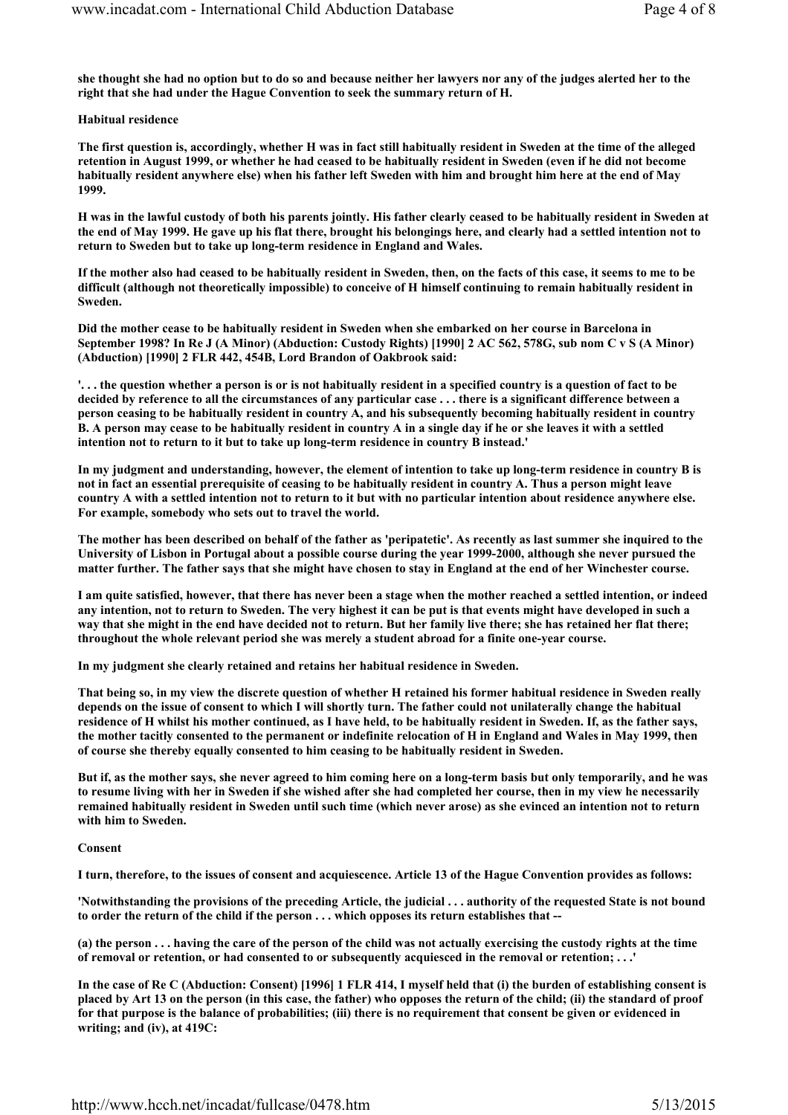she thought she had no option but to do so and because neither her lawyers nor any of the judges alerted her to the right that she had under the Hague Convention to seek the summary return of H.

Habitual residence

The first question is, accordingly, whether H was in fact still habitually resident in Sweden at the time of the alleged retention in August 1999, or whether he had ceased to be habitually resident in Sweden (even if he did not become habitually resident anywhere else) when his father left Sweden with him and brought him here at the end of May 1999.

H was in the lawful custody of both his parents jointly. His father clearly ceased to be habitually resident in Sweden at the end of May 1999. He gave up his flat there, brought his belongings here, and clearly had a settled intention not to return to Sweden but to take up long-term residence in England and Wales.

If the mother also had ceased to be habitually resident in Sweden, then, on the facts of this case, it seems to me to be difficult (although not theoretically impossible) to conceive of H himself continuing to remain habitually resident in Sweden.

Did the mother cease to be habitually resident in Sweden when she embarked on her course in Barcelona in September 1998? In Re J (A Minor) (Abduction: Custody Rights) [1990] 2 AC 562, 578G, sub nom C v S (A Minor) (Abduction) [1990] 2 FLR 442, 454B, Lord Brandon of Oakbrook said:

'. . . the question whether a person is or is not habitually resident in a specified country is a question of fact to be decided by reference to all the circumstances of any particular case . . . there is a significant difference between a person ceasing to be habitually resident in country A, and his subsequently becoming habitually resident in country B. A person may cease to be habitually resident in country A in a single day if he or she leaves it with a settled intention not to return to it but to take up long-term residence in country B instead.'

In my judgment and understanding, however, the element of intention to take up long-term residence in country B is not in fact an essential prerequisite of ceasing to be habitually resident in country A. Thus a person might leave country A with a settled intention not to return to it but with no particular intention about residence anywhere else. For example, somebody who sets out to travel the world.

The mother has been described on behalf of the father as 'peripatetic'. As recently as last summer she inquired to the University of Lisbon in Portugal about a possible course during the year 1999-2000, although she never pursued the matter further. The father says that she might have chosen to stay in England at the end of her Winchester course.

I am quite satisfied, however, that there has never been a stage when the mother reached a settled intention, or indeed any intention, not to return to Sweden. The very highest it can be put is that events might have developed in such a way that she might in the end have decided not to return. But her family live there; she has retained her flat there; throughout the whole relevant period she was merely a student abroad for a finite one-year course.

In my judgment she clearly retained and retains her habitual residence in Sweden.

That being so, in my view the discrete question of whether H retained his former habitual residence in Sweden really depends on the issue of consent to which I will shortly turn. The father could not unilaterally change the habitual residence of H whilst his mother continued, as I have held, to be habitually resident in Sweden. If, as the father says, the mother tacitly consented to the permanent or indefinite relocation of H in England and Wales in May 1999, then of course she thereby equally consented to him ceasing to be habitually resident in Sweden.

But if, as the mother says, she never agreed to him coming here on a long-term basis but only temporarily, and he was to resume living with her in Sweden if she wished after she had completed her course, then in my view he necessarily remained habitually resident in Sweden until such time (which never arose) as she evinced an intention not to return with him to Sweden.

## Consent

I turn, therefore, to the issues of consent and acquiescence. Article 13 of the Hague Convention provides as follows:

'Notwithstanding the provisions of the preceding Article, the judicial . . . authority of the requested State is not bound to order the return of the child if the person . . . which opposes its return establishes that --

(a) the person . . . having the care of the person of the child was not actually exercising the custody rights at the time of removal or retention, or had consented to or subsequently acquiesced in the removal or retention; . . .'

In the case of Re C (Abduction: Consent) [1996] 1 FLR 414, I myself held that (i) the burden of establishing consent is placed by Art 13 on the person (in this case, the father) who opposes the return of the child; (ii) the standard of proof for that purpose is the balance of probabilities; (iii) there is no requirement that consent be given or evidenced in writing; and (iv), at 419C: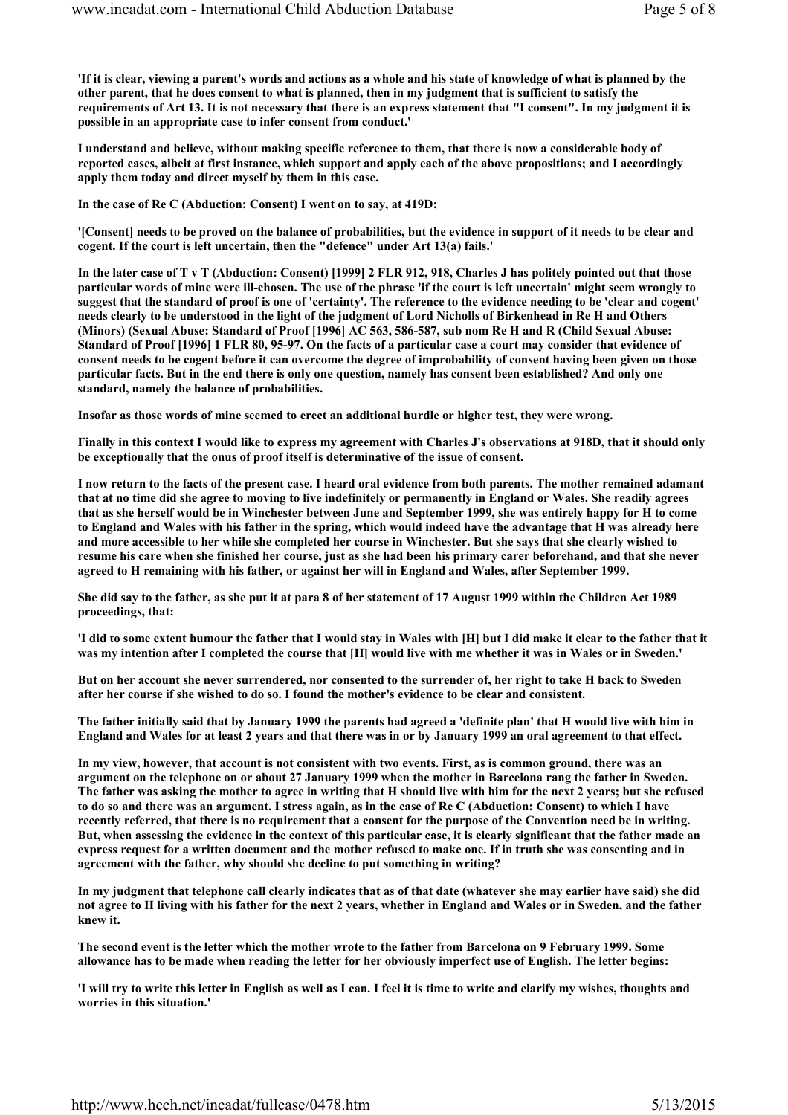'If it is clear, viewing a parent's words and actions as a whole and his state of knowledge of what is planned by the other parent, that he does consent to what is planned, then in my judgment that is sufficient to satisfy the requirements of Art 13. It is not necessary that there is an express statement that "I consent". In my judgment it is possible in an appropriate case to infer consent from conduct.'

I understand and believe, without making specific reference to them, that there is now a considerable body of reported cases, albeit at first instance, which support and apply each of the above propositions; and I accordingly apply them today and direct myself by them in this case.

In the case of Re C (Abduction: Consent) I went on to say, at 419D:

'[Consent] needs to be proved on the balance of probabilities, but the evidence in support of it needs to be clear and cogent. If the court is left uncertain, then the "defence" under Art 13(a) fails.'

In the later case of T v T (Abduction: Consent) [1999] 2 FLR 912, 918, Charles J has politely pointed out that those particular words of mine were ill-chosen. The use of the phrase 'if the court is left uncertain' might seem wrongly to suggest that the standard of proof is one of 'certainty'. The reference to the evidence needing to be 'clear and cogent' needs clearly to be understood in the light of the judgment of Lord Nicholls of Birkenhead in Re H and Others (Minors) (Sexual Abuse: Standard of Proof [1996] AC 563, 586-587, sub nom Re H and R (Child Sexual Abuse: Standard of Proof [1996] 1 FLR 80, 95-97. On the facts of a particular case a court may consider that evidence of consent needs to be cogent before it can overcome the degree of improbability of consent having been given on those particular facts. But in the end there is only one question, namely has consent been established? And only one standard, namely the balance of probabilities.

Insofar as those words of mine seemed to erect an additional hurdle or higher test, they were wrong.

Finally in this context I would like to express my agreement with Charles J's observations at 918D, that it should only be exceptionally that the onus of proof itself is determinative of the issue of consent.

I now return to the facts of the present case. I heard oral evidence from both parents. The mother remained adamant that at no time did she agree to moving to live indefinitely or permanently in England or Wales. She readily agrees that as she herself would be in Winchester between June and September 1999, she was entirely happy for H to come to England and Wales with his father in the spring, which would indeed have the advantage that H was already here and more accessible to her while she completed her course in Winchester. But she says that she clearly wished to resume his care when she finished her course, just as she had been his primary carer beforehand, and that she never agreed to H remaining with his father, or against her will in England and Wales, after September 1999.

She did say to the father, as she put it at para 8 of her statement of 17 August 1999 within the Children Act 1989 proceedings, that:

'I did to some extent humour the father that I would stay in Wales with [H] but I did make it clear to the father that it was my intention after I completed the course that [H] would live with me whether it was in Wales or in Sweden.'

But on her account she never surrendered, nor consented to the surrender of, her right to take H back to Sweden after her course if she wished to do so. I found the mother's evidence to be clear and consistent.

The father initially said that by January 1999 the parents had agreed a 'definite plan' that H would live with him in England and Wales for at least 2 years and that there was in or by January 1999 an oral agreement to that effect.

In my view, however, that account is not consistent with two events. First, as is common ground, there was an argument on the telephone on or about 27 January 1999 when the mother in Barcelona rang the father in Sweden. The father was asking the mother to agree in writing that H should live with him for the next 2 years; but she refused to do so and there was an argument. I stress again, as in the case of Re C (Abduction: Consent) to which I have recently referred, that there is no requirement that a consent for the purpose of the Convention need be in writing. But, when assessing the evidence in the context of this particular case, it is clearly significant that the father made an express request for a written document and the mother refused to make one. If in truth she was consenting and in agreement with the father, why should she decline to put something in writing?

In my judgment that telephone call clearly indicates that as of that date (whatever she may earlier have said) she did not agree to H living with his father for the next 2 years, whether in England and Wales or in Sweden, and the father knew it.

The second event is the letter which the mother wrote to the father from Barcelona on 9 February 1999. Some allowance has to be made when reading the letter for her obviously imperfect use of English. The letter begins:

'I will try to write this letter in English as well as I can. I feel it is time to write and clarify my wishes, thoughts and worries in this situation.'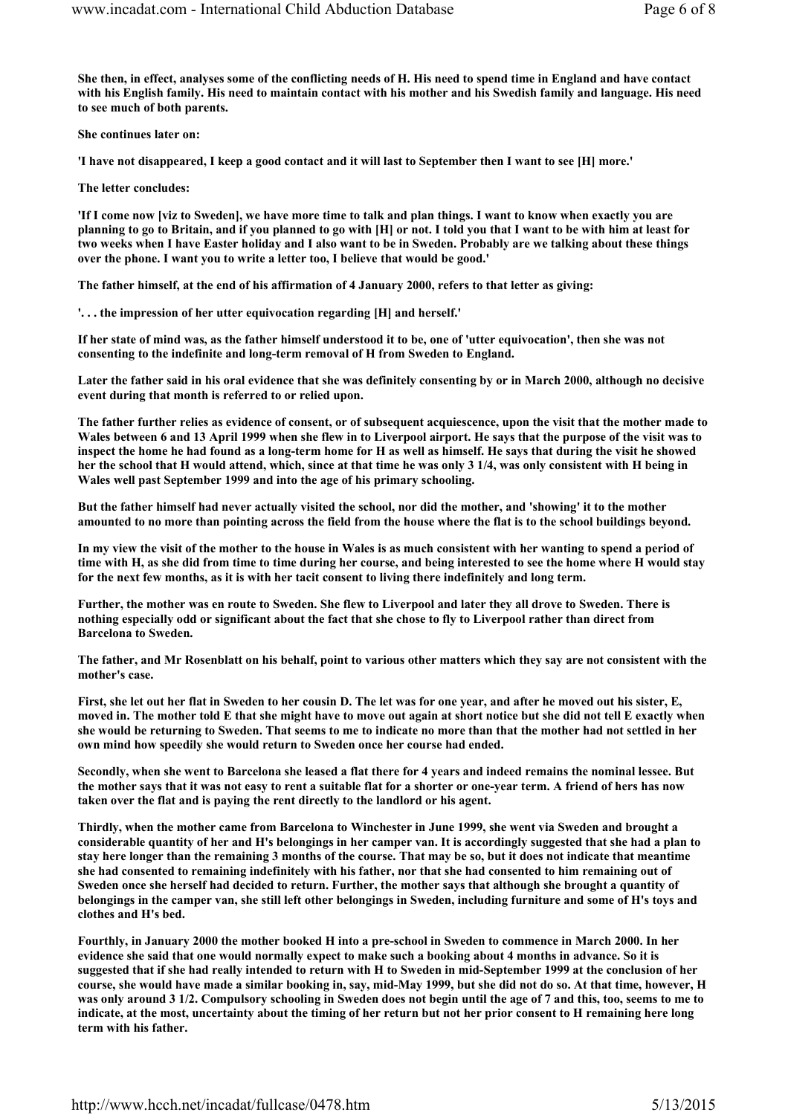She then, in effect, analyses some of the conflicting needs of H. His need to spend time in England and have contact with his English family. His need to maintain contact with his mother and his Swedish family and language. His need to see much of both parents.

She continues later on:

'I have not disappeared, I keep a good contact and it will last to September then I want to see [H] more.'

The letter concludes:

'If I come now [viz to Sweden], we have more time to talk and plan things. I want to know when exactly you are planning to go to Britain, and if you planned to go with [H] or not. I told you that I want to be with him at least for two weeks when I have Easter holiday and I also want to be in Sweden. Probably are we talking about these things over the phone. I want you to write a letter too, I believe that would be good.'

The father himself, at the end of his affirmation of 4 January 2000, refers to that letter as giving:

'. . . the impression of her utter equivocation regarding [H] and herself.'

If her state of mind was, as the father himself understood it to be, one of 'utter equivocation', then she was not consenting to the indefinite and long-term removal of H from Sweden to England.

Later the father said in his oral evidence that she was definitely consenting by or in March 2000, although no decisive event during that month is referred to or relied upon.

The father further relies as evidence of consent, or of subsequent acquiescence, upon the visit that the mother made to Wales between 6 and 13 April 1999 when she flew in to Liverpool airport. He says that the purpose of the visit was to inspect the home he had found as a long-term home for H as well as himself. He says that during the visit he showed her the school that H would attend, which, since at that time he was only 3 1/4, was only consistent with H being in Wales well past September 1999 and into the age of his primary schooling.

But the father himself had never actually visited the school, nor did the mother, and 'showing' it to the mother amounted to no more than pointing across the field from the house where the flat is to the school buildings beyond.

In my view the visit of the mother to the house in Wales is as much consistent with her wanting to spend a period of time with H, as she did from time to time during her course, and being interested to see the home where H would stay for the next few months, as it is with her tacit consent to living there indefinitely and long term.

Further, the mother was en route to Sweden. She flew to Liverpool and later they all drove to Sweden. There is nothing especially odd or significant about the fact that she chose to fly to Liverpool rather than direct from Barcelona to Sweden.

The father, and Mr Rosenblatt on his behalf, point to various other matters which they say are not consistent with the mother's case.

First, she let out her flat in Sweden to her cousin D. The let was for one year, and after he moved out his sister, E, moved in. The mother told E that she might have to move out again at short notice but she did not tell E exactly when she would be returning to Sweden. That seems to me to indicate no more than that the mother had not settled in her own mind how speedily she would return to Sweden once her course had ended.

Secondly, when she went to Barcelona she leased a flat there for 4 years and indeed remains the nominal lessee. But the mother says that it was not easy to rent a suitable flat for a shorter or one-year term. A friend of hers has now taken over the flat and is paying the rent directly to the landlord or his agent.

Thirdly, when the mother came from Barcelona to Winchester in June 1999, she went via Sweden and brought a considerable quantity of her and H's belongings in her camper van. It is accordingly suggested that she had a plan to stay here longer than the remaining 3 months of the course. That may be so, but it does not indicate that meantime she had consented to remaining indefinitely with his father, nor that she had consented to him remaining out of Sweden once she herself had decided to return. Further, the mother says that although she brought a quantity of belongings in the camper van, she still left other belongings in Sweden, including furniture and some of H's toys and clothes and H's bed.

Fourthly, in January 2000 the mother booked H into a pre-school in Sweden to commence in March 2000. In her evidence she said that one would normally expect to make such a booking about 4 months in advance. So it is suggested that if she had really intended to return with H to Sweden in mid-September 1999 at the conclusion of her course, she would have made a similar booking in, say, mid-May 1999, but she did not do so. At that time, however, H was only around 3 1/2. Compulsory schooling in Sweden does not begin until the age of 7 and this, too, seems to me to indicate, at the most, uncertainty about the timing of her return but not her prior consent to H remaining here long term with his father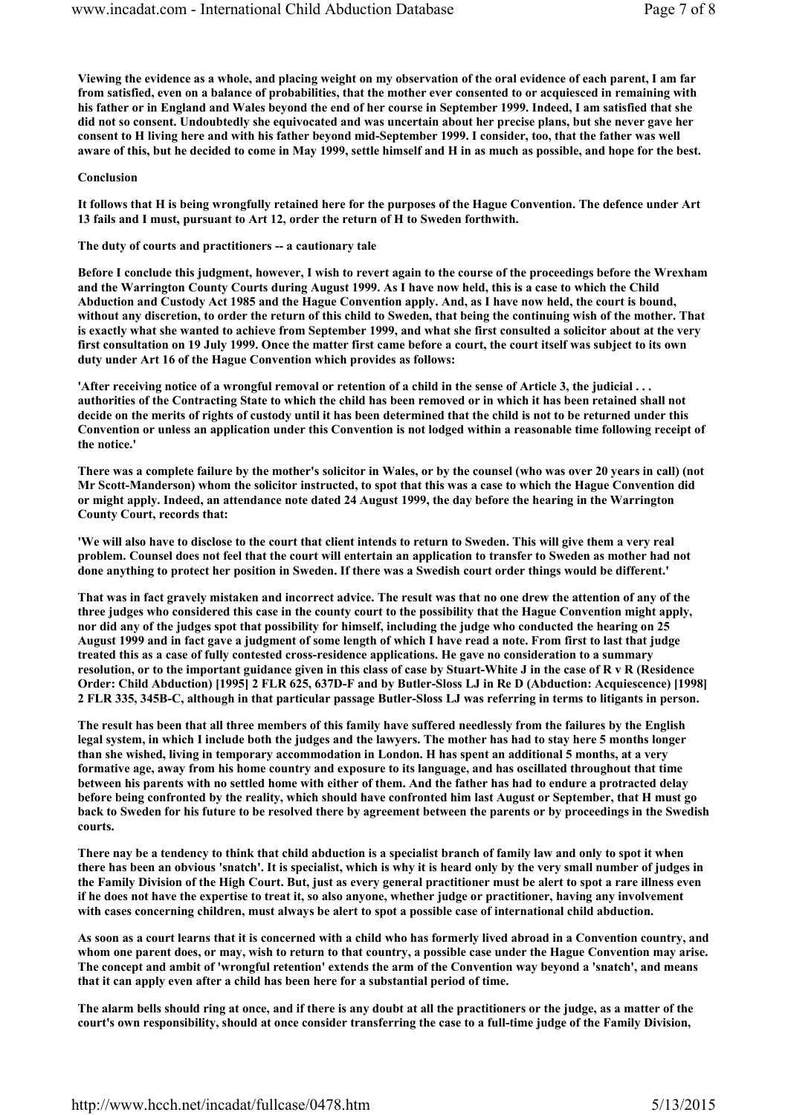Viewing the evidence as a whole, and placing weight on my observation of the oral evidence of each parent, I am far from satisfied, even on a balance of probabilities, that the mother ever consented to or acquiesced in remaining with his father or in England and Wales beyond the end of her course in September 1999. Indeed, I am satisfied that she did not so consent. Undoubtedly she equivocated and was uncertain about her precise plans, but she never gave her consent to H living here and with his father beyond mid-September 1999. I consider, too, that the father was well aware of this, but he decided to come in May 1999, settle himself and H in as much as possible, and hope for the best.

#### Conclusion

It follows that H is being wrongfully retained here for the purposes of the Hague Convention. The defence under Art 13 fails and I must, pursuant to Art 12, order the return of H to Sweden forthwith.

#### The duty of courts and practitioners -- a cautionary tale

Before I conclude this judgment, however, I wish to revert again to the course of the proceedings before the Wrexham and the Warrington County Courts during August 1999. As I have now held, this is a case to which the Child Abduction and Custody Act 1985 and the Hague Convention apply. And, as I have now held, the court is bound, without any discretion, to order the return of this child to Sweden, that being the continuing wish of the mother. That is exactly what she wanted to achieve from September 1999, and what she first consulted a solicitor about at the very first consultation on 19 July 1999. Once the matter first came before a court, the court itself was subject to its own duty under Art 16 of the Hague Convention which provides as follows:

'After receiving notice of a wrongful removal or retention of a child in the sense of Article 3, the judicial . . . authorities of the Contracting State to which the child has been removed or in which it has been retained shall not decide on the merits of rights of custody until it has been determined that the child is not to be returned under this Convention or unless an application under this Convention is not lodged within a reasonable time following receipt of the notice.'

There was a complete failure by the mother's solicitor in Wales, or by the counsel (who was over 20 years in call) (not Mr Scott-Manderson) whom the solicitor instructed, to spot that this was a case to which the Hague Convention did or might apply. Indeed, an attendance note dated 24 August 1999, the day before the hearing in the Warrington County Court, records that:

'We will also have to disclose to the court that client intends to return to Sweden. This will give them a very real problem. Counsel does not feel that the court will entertain an application to transfer to Sweden as mother had not done anything to protect her position in Sweden. If there was a Swedish court order things would be different.'

That was in fact gravely mistaken and incorrect advice. The result was that no one drew the attention of any of the three judges who considered this case in the county court to the possibility that the Hague Convention might apply, nor did any of the judges spot that possibility for himself, including the judge who conducted the hearing on 25 August 1999 and in fact gave a judgment of some length of which I have read a note. From first to last that judge treated this as a case of fully contested cross-residence applications. He gave no consideration to a summary resolution, or to the important guidance given in this class of case by Stuart-White J in the case of R v R (Residence Order: Child Abduction) [1995] 2 FLR 625, 637D-F and by Butler-Sloss LJ in Re D (Abduction: Acquiescence) [1998] 2 FLR 335, 345B-C, although in that particular passage Butler-Sloss LJ was referring in terms to litigants in person.

The result has been that all three members of this family have suffered needlessly from the failures by the English legal system, in which I include both the judges and the lawyers. The mother has had to stay here 5 months longer than she wished, living in temporary accommodation in London. H has spent an additional 5 months, at a very formative age, away from his home country and exposure to its language, and has oscillated throughout that time between his parents with no settled home with either of them. And the father has had to endure a protracted delay before being confronted by the reality, which should have confronted him last August or September, that H must go back to Sweden for his future to be resolved there by agreement between the parents or by proceedings in the Swedish courts.

There nay be a tendency to think that child abduction is a specialist branch of family law and only to spot it when there has been an obvious 'snatch'. It is specialist, which is why it is heard only by the very small number of judges in the Family Division of the High Court. But, just as every general practitioner must be alert to spot a rare illness even if he does not have the expertise to treat it, so also anyone, whether judge or practitioner, having any involvement with cases concerning children, must always be alert to spot a possible case of international child abduction.

As soon as a court learns that it is concerned with a child who has formerly lived abroad in a Convention country, and whom one parent does, or may, wish to return to that country, a possible case under the Hague Convention may arise. The concept and ambit of 'wrongful retention' extends the arm of the Convention way beyond a 'snatch', and means that it can apply even after a child has been here for a substantial period of time.

The alarm bells should ring at once, and if there is any doubt at all the practitioners or the judge, as a matter of the court's own responsibility, should at once consider transferring the case to a full-time judge of the Family Division,